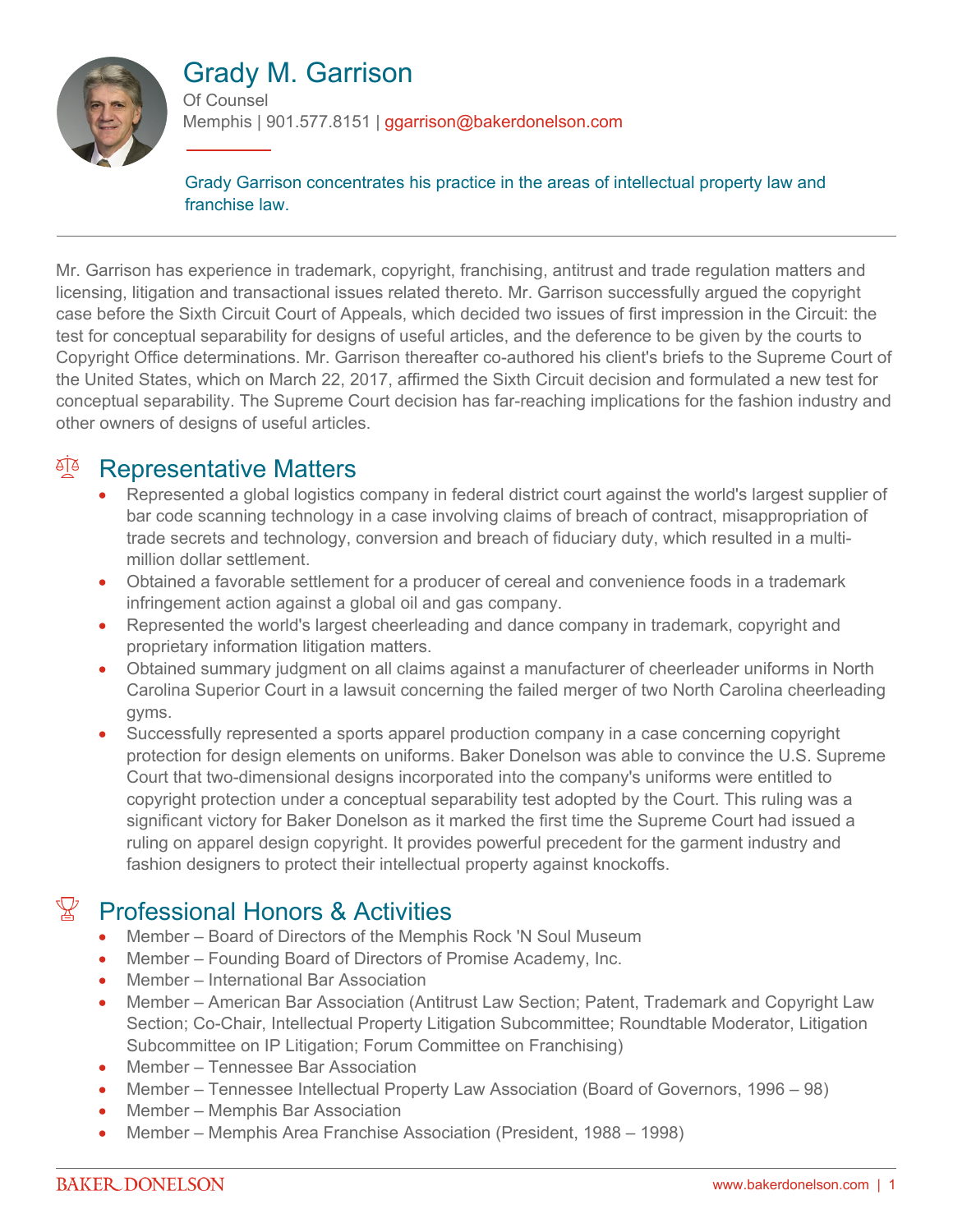

# Grady M. Garrison

Of Counsel Memphis | 901.577.8151 | ggarrison@bakerdonelson.com

Grady Garrison concentrates his practice in the areas of intellectual property law and franchise law.

Mr. Garrison has experience in trademark, copyright, franchising, antitrust and trade regulation matters and licensing, litigation and transactional issues related thereto. Mr. Garrison successfully argued the copyright case before the Sixth Circuit Court of Appeals, which decided two issues of first impression in the Circuit: the test for conceptual separability for designs of useful articles, and the deference to be given by the courts to Copyright Office determinations. Mr. Garrison thereafter co-authored his client's briefs to the Supreme Court of the United States, which on March 22, 2017, affirmed the Sixth Circuit decision and formulated a new test for conceptual separability. The Supreme Court decision has far-reaching implications for the fashion industry and other owners of designs of useful articles.

## <sup>A</sup> Representative Matters

- Represented a global logistics company in federal district court against the world's largest supplier of bar code scanning technology in a case involving claims of breach of contract, misappropriation of trade secrets and technology, conversion and breach of fiduciary duty, which resulted in a multimillion dollar settlement.
- Obtained a favorable settlement for a producer of cereal and convenience foods in a trademark infringement action against a global oil and gas company.
- Represented the world's largest cheerleading and dance company in trademark, copyright and proprietary information litigation matters.
- Obtained summary judgment on all claims against a manufacturer of cheerleader uniforms in North Carolina Superior Court in a lawsuit concerning the failed merger of two North Carolina cheerleading gyms.
- Successfully represented a sports apparel production company in a case concerning copyright protection for design elements on uniforms. Baker Donelson was able to convince the U.S. Supreme Court that two-dimensional designs incorporated into the company's uniforms were entitled to copyright protection under a conceptual separability test adopted by the Court. This ruling was a significant victory for Baker Donelson as it marked the first time the Supreme Court had issued a ruling on apparel design copyright. It provides powerful precedent for the garment industry and fashion designers to protect their intellectual property against knockoffs.

## $\mathbb{Y}$  Professional Honors & Activities

- Member Board of Directors of the Memphis Rock 'N Soul Museum
- Member Founding Board of Directors of Promise Academy, Inc.
- Member International Bar Association
- Member American Bar Association (Antitrust Law Section; Patent, Trademark and Copyright Law Section; Co-Chair, Intellectual Property Litigation Subcommittee; Roundtable Moderator, Litigation Subcommittee on IP Litigation; Forum Committee on Franchising)
- Member Tennessee Bar Association
- Member Tennessee Intellectual Property Law Association (Board of Governors, 1996 98)
- Member Memphis Bar Association
- Member Memphis Area Franchise Association (President, 1988 1998)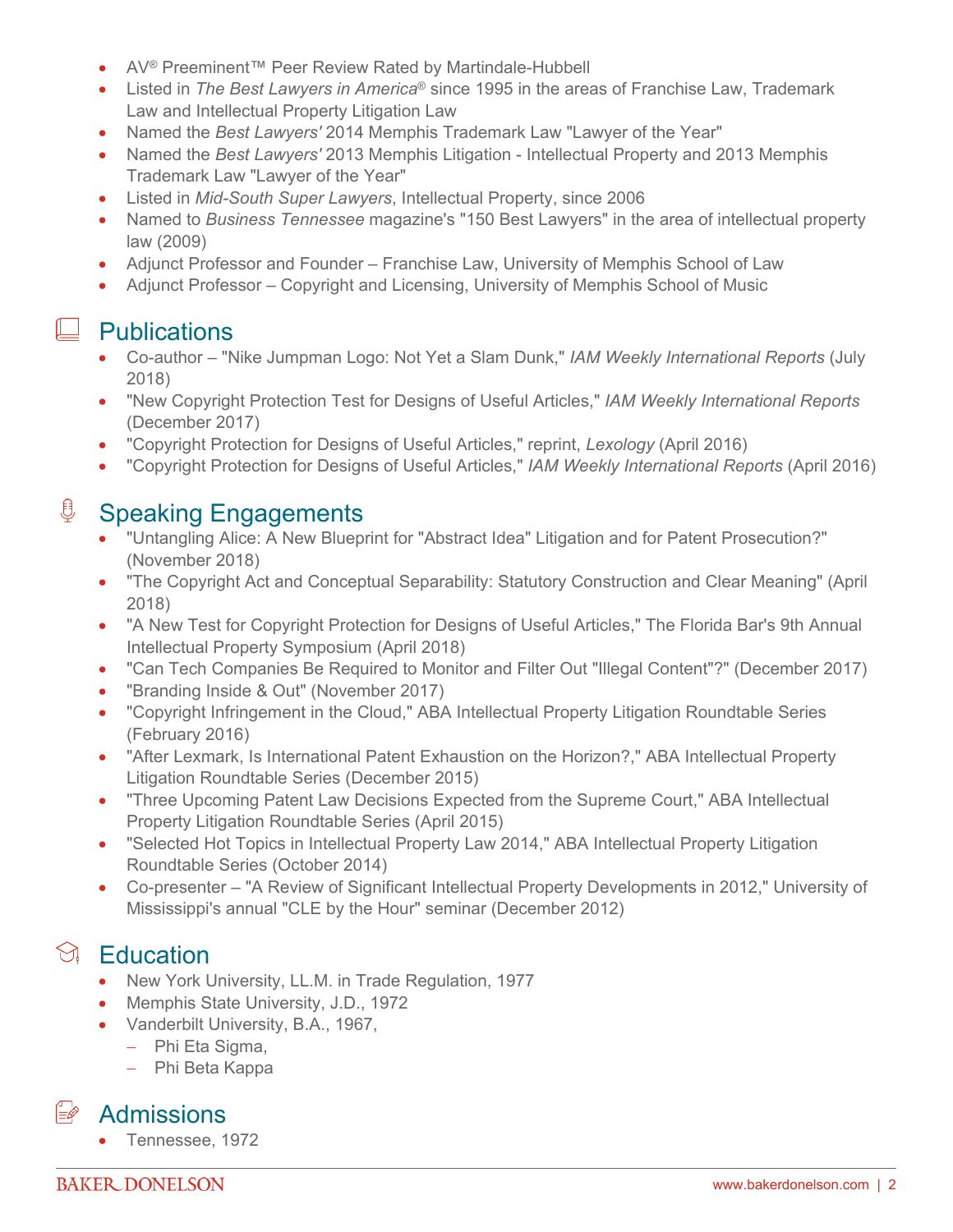- AV<sup>®</sup> Preeminent™ Peer Review Rated by Martindale-Hubbell
- Listed in *The Best Lawyers in America*® since 1995 in the areas of Franchise Law, Trademark Law and Intellectual Property Litigation Law
- Named the *Best Lawyers'* 2014 Memphis Trademark Law "Lawyer of the Year"
- Named the *Best Lawyers'* 2013 Memphis Litigation Intellectual Property and 2013 Memphis Trademark Law "Lawyer of the Year"
- Listed in *Mid-South Super Lawyers*, Intellectual Property, since 2006
- Named to *Business Tennessee* magazine's "150 Best Lawyers" in the area of intellectual property law (2009)
- Adjunct Professor and Founder Franchise Law, University of Memphis School of Law
- Adjunct Professor Copyright and Licensing, University of Memphis School of Music

#### $\perp$  Publications

- Co-author "Nike Jumpman Logo: Not Yet a Slam Dunk," *IAM Weekly International Reports* (July 2018)
- "New Copyright Protection Test for Designs of Useful Articles," *IAM Weekly International Reports* (December 2017)
- "Copyright Protection for Designs of Useful Articles," reprint, *Lexology* (April 2016)
- "Copyright Protection for Designs of Useful Articles," *IAM Weekly International Reports* (April 2016)

### **<u>U</u>** Speaking Engagements

- "Untangling Alice: A New Blueprint for "Abstract Idea" Litigation and for Patent Prosecution?" (November 2018)
- "The Copyright Act and Conceptual Separability: Statutory Construction and Clear Meaning" (April 2018)
- "A New Test for Copyright Protection for Designs of Useful Articles," The Florida Bar's 9th Annual Intellectual Property Symposium (April 2018)
- "Can Tech Companies Be Required to Monitor and Filter Out "Illegal Content"?" (December 2017)
- "Branding Inside & Out" (November 2017)
- "Copyright Infringement in the Cloud," ABA Intellectual Property Litigation Roundtable Series (February 2016)
- "After Lexmark, Is International Patent Exhaustion on the Horizon?," ABA Intellectual Property Litigation Roundtable Series (December 2015)
- "Three Upcoming Patent Law Decisions Expected from the Supreme Court," ABA Intellectual Property Litigation Roundtable Series (April 2015)
- "Selected Hot Topics in Intellectual Property Law 2014," ABA Intellectual Property Litigation Roundtable Series (October 2014)
- Co-presenter "A Review of Significant Intellectual Property Developments in 2012," University of Mississippi's annual "CLE by the Hour" seminar (December 2012)

## $\Im$  Education

- New York University, LL.M. in Trade Regulation, 1977
- Memphis State University, J.D., 1972
- Vanderbilt University, B.A., 1967,
	- Phi Eta Sigma,
	- Phi Beta Kappa

#### $\stackrel{\frown}{\Rightarrow}$  Admissions

• Tennessee, 1972